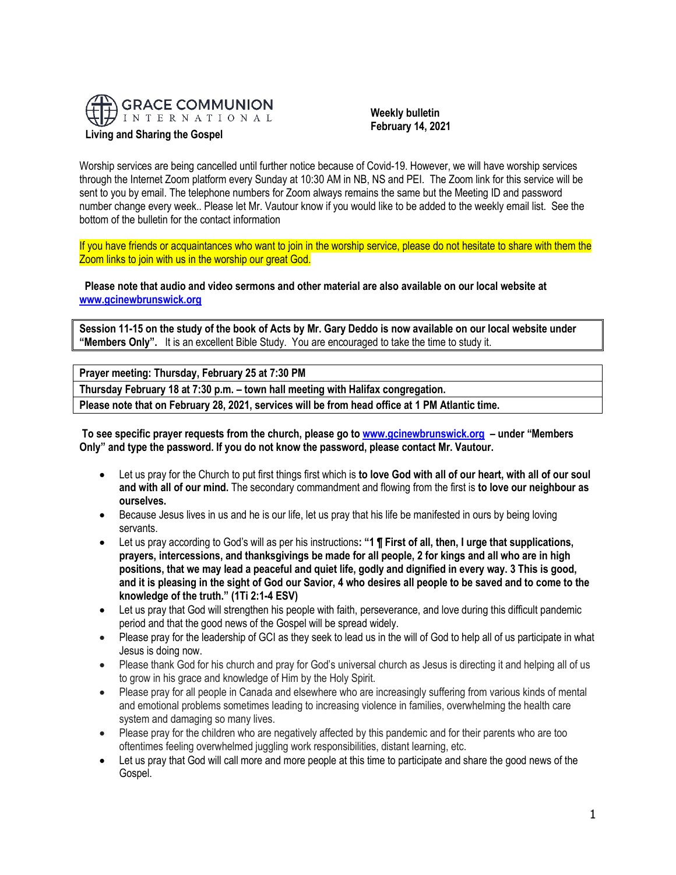

 **Weekly bulletin February 14, 2021**

Worship services are being cancelled until further notice because of Covid-19. However, we will have worship services through the Internet Zoom platform every Sunday at 10:30 AM in NB, NS and PEI. The Zoom link for this service will be sent to you by email. The telephone numbers for Zoom always remains the same but the Meeting ID and password number change every week.. Please let Mr. Vautour know if you would like to be added to the weekly email list. See the bottom of the bulletin for the contact information

If you have friends or acquaintances who want to join in the worship service, please do not hesitate to share with them the Zoom links to join with us in the worship our great God.

**Please note that audio and video sermons and other material are also available on our local website at [www.gcinewbrunswick.org](http://www.gcinewbrunswick.org/)**

**Session 11-15 on the study of the book of Acts by Mr. Gary Deddo is now available on our local website under "Members Only".** It is an excellent Bible Study. You are encouraged to take the time to study it.

**Prayer meeting: Thursday, February 25 at 7:30 PM**

**Thursday February 18 at 7:30 p.m. – town hall meeting with Halifax congregation.**

**Please note that on February 28, 2021, services will be from head office at 1 PM Atlantic time.**

**To see specific prayer requests from the church, please go t[o www.gcinewbrunswick.org](http://www.gcinewbrunswick.org/) – under "Members Only" and type the password. If you do not know the password, please contact Mr. Vautour.**

- Let us pray for the Church to put first things first which is **to love God with all of our heart, with all of our soul and with all of our mind.** The secondary commandment and flowing from the first is **to love our neighbour as ourselves.**
- Because Jesus lives in us and he is our life, let us pray that his life be manifested in ours by being loving servants.
- Let us pray according to God's will as per his instructions**: "1 ¶ First of all, then, I urge that supplications, prayers, intercessions, and thanksgivings be made for all people, 2 for kings and all who are in high positions, that we may lead a peaceful and quiet life, godly and dignified in every way. 3 This is good, and it is pleasing in the sight of God our Savior, 4 who desires all people to be saved and to come to the knowledge of the truth." (1Ti 2:1-4 ESV)**
- Let us pray that God will strengthen his people with faith, perseverance, and love during this difficult pandemic period and that the good news of the Gospel will be spread widely.
- Please pray for the leadership of GCI as they seek to lead us in the will of God to help all of us participate in what Jesus is doing now.
- Please thank God for his church and pray for God's universal church as Jesus is directing it and helping all of us to grow in his grace and knowledge of Him by the Holy Spirit.
- Please pray for all people in Canada and elsewhere who are increasingly suffering from various kinds of mental and emotional problems sometimes leading to increasing violence in families, overwhelming the health care system and damaging so many lives.
- Please pray for the children who are negatively affected by this pandemic and for their parents who are too oftentimes feeling overwhelmed juggling work responsibilities, distant learning, etc.
- Let us pray that God will call more and more people at this time to participate and share the good news of the Gospel.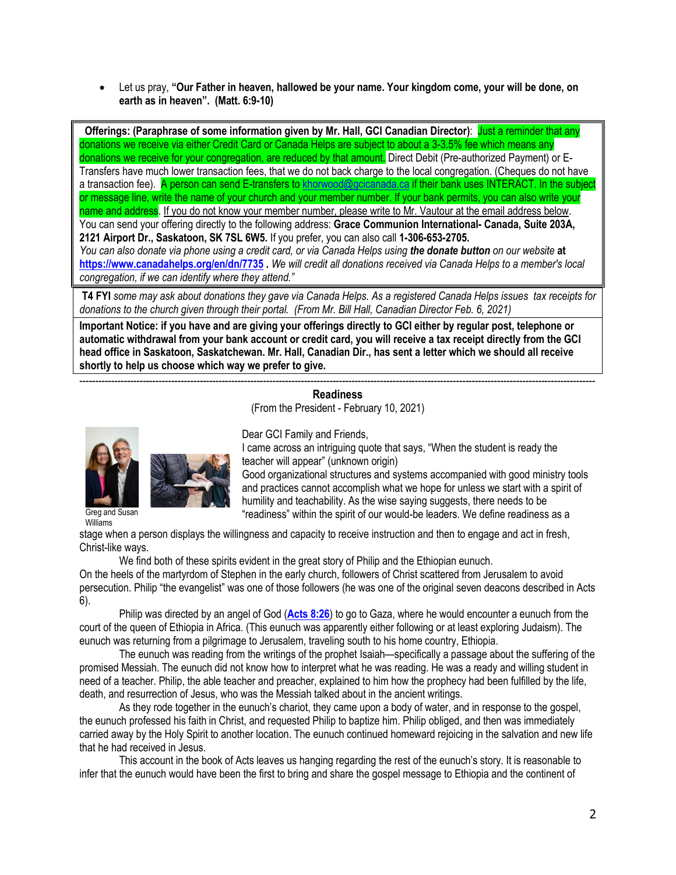• Let us pray, **"Our Father in heaven, hallowed be your name. Your kingdom come, your will be done, on earth as in heaven". (Matt. 6:9-10)**

**Offerings: (Paraphrase of some information given by Mr. Hall, GCI Canadian Director)**: Just a reminder that any donations we receive via either Credit Card or Canada Helps are subject to about a 3-3.5% fee which means any donations we receive for your congregation, are reduced by that amount. Direct Debit (Pre-authorized Payment) or E-Transfers have much lower transaction fees, that we do not back charge to the local congregation. (Cheques do not have a transaction fee). A person can send E-transfers to [khorwood@gcicanada.ca](mailto:khorwood@gcicanada.ca) if their bank uses INTERACT. In the subject or message line, write the name of your church and your member number. If your bank permits, you can also write your name and address. If you do not know your member number, please write to Mr. Vautour at the email address below. You can send your offering directly to the following address: **Grace Communion International- Canada, Suite 203A, 2121 Airport Dr., Saskatoon, SK 7SL 6W5.** If you prefer, you can also call **1-306-653-2705.**  *You can also donate via phone using a credit card, or via Canada Helps using the donate button on our website* **at**

**<https://www.canadahelps.org/en/dn/7735> .** *We will credit all donations received via Canada Helps to a member's local congregation, if we can identify where they attend."*

**T4 FYI** *some may ask about donations they gave via Canada Helps. As a registered Canada Helps issues tax receipts for donations to the church given through their portal. (From Mr. Bill Hall, Canadian Director Feb. 6, 2021)*

**Important Notice: if you have and are giving your offerings directly to GCI either by regular post, telephone or automatic withdrawal from your bank account or credit card, you will receive a tax receipt directly from the GCI head office in Saskatoon, Saskatchewan. Mr. Hall, Canadian Dir., has sent a letter which we should all receive shortly to help us choose which way we prefer to give.**

------------------------------------------------------------------------------------------------------------------------------------------------------------------- **Readiness**  (From the President - February 10, 2021)



Williams



Dear GCI Family and Friends,

I came across an intriguing quote that says, "When the student is ready the teacher will appear" (unknown origin)

Good organizational structures and systems accompanied with good ministry tools and practices cannot accomplish what we hope for unless we start with a spirit of humility and teachability. As the wise saying suggests, there needs to be "readiness" within the spirit of our would-be leaders. We define readiness as a

stage when a person displays the willingness and capacity to receive instruction and then to engage and act in fresh, Christ-like ways.

We find both of these spirits evident in the great story of Philip and the Ethiopian eunuch.

On the heels of the martyrdom of Stephen in the early church, followers of Christ scattered from Jerusalem to avoid persecution. Philip "the evangelist" was one of those followers (he was one of the original seven deacons described in Acts 6).

Philip was directed by an angel of God (**[Acts 8:26](https://ebible.com/query?utf=8%E2%9C%93&query=Acts%208%3A26&translation=ESV)**) to go to Gaza, where he would encounter a eunuch from the court of the queen of Ethiopia in Africa. (This eunuch was apparently either following or at least exploring Judaism). The eunuch was returning from a pilgrimage to Jerusalem, traveling south to his home country, Ethiopia.

The eunuch was reading from the writings of the prophet Isaiah—specifically a passage about the suffering of the promised Messiah. The eunuch did not know how to interpret what he was reading. He was a ready and willing student in need of a teacher. Philip, the able teacher and preacher, explained to him how the prophecy had been fulfilled by the life, death, and resurrection of Jesus, who was the Messiah talked about in the ancient writings.

As they rode together in the eunuch's chariot, they came upon a body of water, and in response to the gospel, the eunuch professed his faith in Christ, and requested Philip to baptize him. Philip obliged, and then was immediately carried away by the Holy Spirit to another location. The eunuch continued homeward rejoicing in the salvation and new life that he had received in Jesus.

This account in the book of Acts leaves us hanging regarding the rest of the eunuch's story. It is reasonable to infer that the eunuch would have been the first to bring and share the gospel message to Ethiopia and the continent of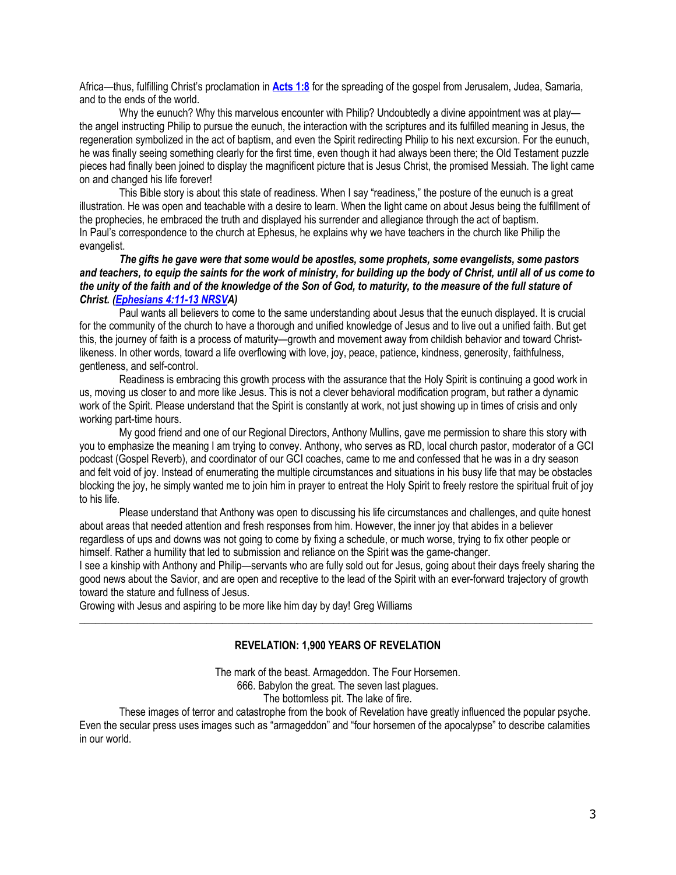Africa—thus, fulfilling Christ's proclamation in **[Acts 1:8](https://biblia.com/bible/niv/Acts%201.8)** for the spreading of the gospel from Jerusalem, Judea, Samaria, and to the ends of the world.

Why the eunuch? Why this marvelous encounter with Philip? Undoubtedly a divine appointment was at play the angel instructing Philip to pursue the eunuch, the interaction with the scriptures and its fulfilled meaning in Jesus, the regeneration symbolized in the act of baptism, and even the Spirit redirecting Philip to his next excursion. For the eunuch, he was finally seeing something clearly for the first time, even though it had always been there; the Old Testament puzzle pieces had finally been joined to display the magnificent picture that is Jesus Christ, the promised Messiah. The light came on and changed his life forever!

This Bible story is about this state of readiness. When I say "readiness," the posture of the eunuch is a great illustration. He was open and teachable with a desire to learn. When the light came on about Jesus being the fulfillment of the prophecies, he embraced the truth and displayed his surrender and allegiance through the act of baptism. In Paul's correspondence to the church at Ephesus, he explains why we have teachers in the church like Philip the evangelist.

### *The gifts he gave were that some would be apostles, some prophets, some evangelists, some pastors and teachers, to equip the saints for the work of ministry, for building up the body of Christ, until all of us come to the unity of the faith and of the knowledge of the Son of God, to maturity, to the measure of the full stature of Christ. [\(Ephesians 4:11-13 NRSVA](https://biblia.com/bible/nrsv/Eph%204.11-13))*

Paul wants all believers to come to the same understanding about Jesus that the eunuch displayed. It is crucial for the community of the church to have a thorough and unified knowledge of Jesus and to live out a unified faith. But get this, the journey of faith is a process of maturity—growth and movement away from childish behavior and toward Christlikeness. In other words, toward a life overflowing with love, joy, peace, patience, kindness, generosity, faithfulness, gentleness, and self-control.

Readiness is embracing this growth process with the assurance that the Holy Spirit is continuing a good work in us, moving us closer to and more like Jesus. This is not a clever behavioral modification program, but rather a dynamic work of the Spirit. Please understand that the Spirit is constantly at work, not just showing up in times of crisis and only working part-time hours.

My good friend and one of our Regional Directors, Anthony Mullins, gave me permission to share this story with you to emphasize the meaning I am trying to convey. Anthony, who serves as RD, local church pastor, moderator of a GCI podcast (Gospel Reverb), and coordinator of our GCI coaches, came to me and confessed that he was in a dry season and felt void of joy. Instead of enumerating the multiple circumstances and situations in his busy life that may be obstacles blocking the joy, he simply wanted me to join him in prayer to entreat the Holy Spirit to freely restore the spiritual fruit of joy to his life.

Please understand that Anthony was open to discussing his life circumstances and challenges, and quite honest about areas that needed attention and fresh responses from him. However, the inner joy that abides in a believer regardless of ups and downs was not going to come by fixing a schedule, or much worse, trying to fix other people or himself. Rather a humility that led to submission and reliance on the Spirit was the game-changer.

I see a kinship with Anthony and Philip—servants who are fully sold out for Jesus, going about their days freely sharing the good news about the Savior, and are open and receptive to the lead of the Spirit with an ever-forward trajectory of growth toward the stature and fullness of Jesus.

Growing with Jesus and aspiring to be more like him day by day! Greg Williams

# **REVELATION: 1,900 YEARS OF REVELATION**

\_\_\_\_\_\_\_\_\_\_\_\_\_\_\_\_\_\_\_\_\_\_\_\_\_\_\_\_\_\_\_\_\_\_\_\_\_\_\_\_\_\_\_\_\_\_\_\_\_\_\_\_\_\_\_\_\_\_\_\_\_\_\_\_\_\_\_\_\_\_\_\_\_\_\_\_\_\_\_\_\_\_\_\_\_\_\_\_\_\_\_\_\_\_\_\_\_

The mark of the beast. Armageddon. The Four Horsemen. 666. Babylon the great. The seven last plagues. The bottomless pit. The lake of fire.

These images of terror and catastrophe from the book of Revelation have greatly influenced the popular psyche. Even the secular press uses images such as "armageddon" and "four horsemen of the apocalypse" to describe calamities in our world.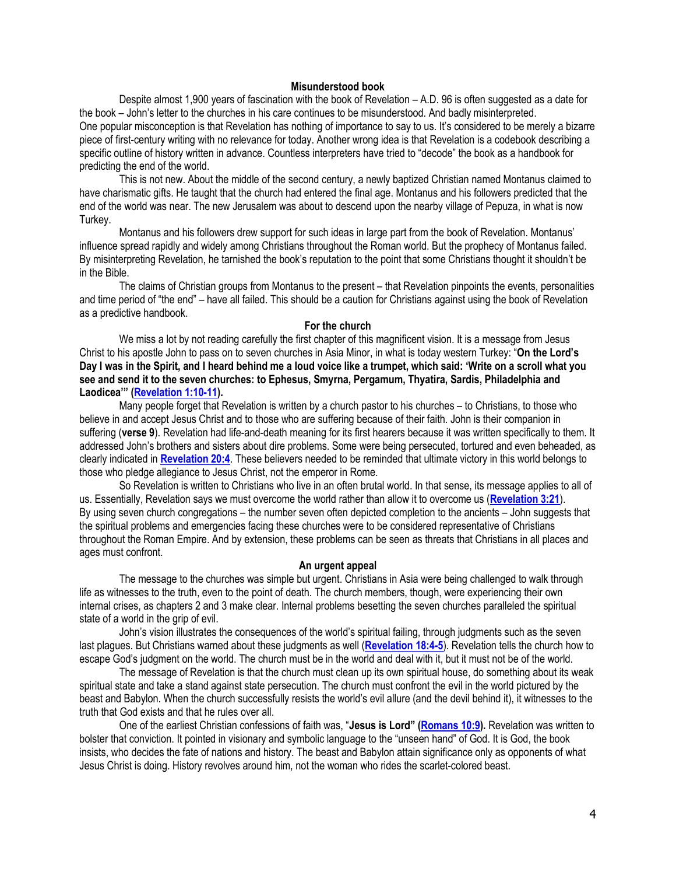#### **Misunderstood book**

Despite almost 1,900 years of fascination with the book of Revelation – A.D. 96 is often suggested as a date for the book – John's letter to the churches in his care continues to be misunderstood. And badly misinterpreted. One popular misconception is that Revelation has nothing of importance to say to us. It's considered to be merely a bizarre piece of first-century writing with no relevance for today. Another wrong idea is that Revelation is a codebook describing a specific outline of history written in advance. Countless interpreters have tried to "decode" the book as a handbook for predicting the end of the world.

This is not new. About the middle of the second century, a newly baptized Christian named Montanus claimed to have charismatic gifts. He taught that the church had entered the final age. Montanus and his followers predicted that the end of the world was near. The new Jerusalem was about to descend upon the nearby village of Pepuza, in what is now Turkey.

Montanus and his followers drew support for such ideas in large part from the book of Revelation. Montanus' influence spread rapidly and widely among Christians throughout the Roman world. But the prophecy of Montanus failed. By misinterpreting Revelation, he tarnished the book's reputation to the point that some Christians thought it shouldn't be in the Bible.

The claims of Christian groups from Montanus to the present – that Revelation pinpoints the events, personalities and time period of "the end" – have all failed. This should be a caution for Christians against using the book of Revelation as a predictive handbook.

#### **For the church**

We miss a lot by not reading carefully the first chapter of this magnificent vision. It is a message from Jesus Christ to his apostle John to pass on to seven churches in Asia Minor, in what is today western Turkey: "**On the Lord's Day I was in the Spirit, and I heard behind me a loud voice like a trumpet, which said: 'Write on a scroll what you see and send it to the seven churches: to Ephesus, Smyrna, Pergamum, Thyatira, Sardis, Philadelphia and Laodicea'" ([Revelation 1:10-11\)](https://biblia.com/bible/niv/Rev%201.10-11).**

Many people forget that Revelation is written by a church pastor to his churches – to Christians, to those who believe in and accept Jesus Christ and to those who are suffering because of their faith. John is their companion in suffering (**verse 9**). Revelation had life-and-death meaning for its first hearers because it was written specifically to them. It addressed John's brothers and sisters about dire problems. Some were being persecuted, tortured and even beheaded, as clearly indicated in **[Revelation 20:4](https://biblia.com/bible/niv/Rev%2020.4)**. These believers needed to be reminded that ultimate victory in this world belongs to those who pledge allegiance to Jesus Christ, not the emperor in Rome.

So Revelation is written to Christians who live in an often brutal world. In that sense, its message applies to all of us. Essentially, Revelation says we must overcome the world rather than allow it to overcome us (**[Revelation 3:21](https://biblia.com/bible/niv/Rev%203.21)**). By using seven church congregations – the number seven often depicted completion to the ancients – John suggests that the spiritual problems and emergencies facing these churches were to be considered representative of Christians throughout the Roman Empire. And by extension, these problems can be seen as threats that Christians in all places and ages must confront.

#### **An urgent appeal**

The message to the churches was simple but urgent. Christians in Asia were being challenged to walk through life as witnesses to the truth, even to the point of death. The church members, though, were experiencing their own internal crises, as chapters 2 and 3 make clear. Internal problems besetting the seven churches paralleled the spiritual state of a world in the grip of evil.

John's vision illustrates the consequences of the world's spiritual failing, through judgments such as the seven last plagues. But Christians warned about these judgments as well (**[Revelation 18:4-5](https://biblia.com/bible/niv/Rev%2018.4-5)**). Revelation tells the church how to escape God's judgment on the world. The church must be in the world and deal with it, but it must not be of the world.

The message of Revelation is that the church must clean up its own spiritual house, do something about its weak spiritual state and take a stand against state persecution. The church must confront the evil in the world pictured by the beast and Babylon. When the church successfully resists the world's evil allure (and the devil behind it), it witnesses to the truth that God exists and that he rules over all.

One of the earliest Christian confessions of faith was, "**Jesus is Lord" ([Romans 10:9\)](https://biblia.com/bible/niv/Rom%2010.9).** Revelation was written to bolster that conviction. It pointed in visionary and symbolic language to the "unseen hand" of God. It is God, the book insists, who decides the fate of nations and history. The beast and Babylon attain significance only as opponents of what Jesus Christ is doing. History revolves around him, not the woman who rides the scarlet-colored beast.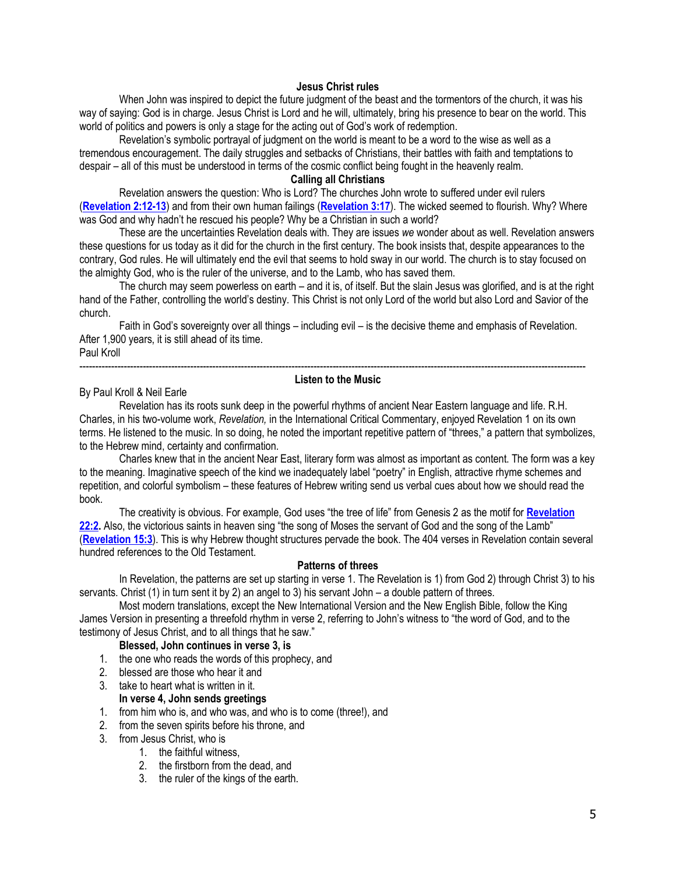# **Jesus Christ rules**

When John was inspired to depict the future judgment of the beast and the tormentors of the church, it was his way of saying: God is in charge. Jesus Christ is Lord and he will, ultimately, bring his presence to bear on the world. This world of politics and powers is only a stage for the acting out of God's work of redemption.

Revelation's symbolic portrayal of judgment on the world is meant to be a word to the wise as well as a tremendous encouragement. The daily struggles and setbacks of Christians, their battles with faith and temptations to despair – all of this must be understood in terms of the cosmic conflict being fought in the heavenly realm.

#### **Calling all Christians**

Revelation answers the question: Who is Lord? The churches John wrote to suffered under evil rulers (**[Revelation 2:12-13](https://biblia.com/bible/niv/Rev%202.12-13)**) and from their own human failings (**[Revelation 3:17](https://biblia.com/bible/niv/Rev%203.17)**). The wicked seemed to flourish. Why? Where was God and why hadn't he rescued his people? Why be a Christian in such a world?

These are the uncertainties Revelation deals with. They are issues *we* wonder about as well. Revelation answers these questions for us today as it did for the church in the first century. The book insists that, despite appearances to the contrary, God rules. He will ultimately end the evil that seems to hold sway in our world. The church is to stay focused on the almighty God, who is the ruler of the universe, and to the Lamb, who has saved them.

The church may seem powerless on earth – and it is, of itself. But the slain Jesus was glorified, and is at the right hand of the Father, controlling the world's destiny. This Christ is not only Lord of the world but also Lord and Savior of the church.

Faith in God's sovereignty over all things – including evil – is the decisive theme and emphasis of Revelation. After 1,900 years, it is still ahead of its time.

Paul Kroll

# ---------------------------------------------------------------------------------------------------------------------------------------------------------------- **Listen to the Music**

### By Paul Kroll & Neil Earle

Revelation has its roots sunk deep in the powerful rhythms of ancient Near Eastern language and life. R.H. Charles, in his two-volume work, *Revelation,* in the International Critical Commentary, enjoyed Revelation 1 on its own terms. He listened to the music. In so doing, he noted the important repetitive pattern of "threes," a pattern that symbolizes, to the Hebrew mind, certainty and confirmation.

Charles knew that in the ancient Near East, literary form was almost as important as content. The form was a key to the meaning. Imaginative speech of the kind we inadequately label "poetry" in English, attractive rhyme schemes and repetition, and colorful symbolism – these features of Hebrew writing send us verbal cues about how we should read the book.

The creativity is obvious. For example, God uses "the tree of life" from Genesis 2 as the motif for **[Revelation](https://biblia.com/bible/niv/Rev%2022.2)  [22:2.](https://biblia.com/bible/niv/Rev%2022.2)** Also, the victorious saints in heaven sing "the song of Moses the servant of God and the song of the Lamb" (**[Revelation 15:3](https://biblia.com/bible/niv/Rev%2015.3)**). This is why Hebrew thought structures pervade the book. The 404 verses in Revelation contain several hundred references to the Old Testament.

#### **Patterns of threes**

In Revelation, the patterns are set up starting in verse 1. The Revelation is 1) from God 2) through Christ 3) to his servants. Christ (1) in turn sent it by 2) an angel to 3) his servant John – a double pattern of threes.

Most modern translations, except the New International Version and the New English Bible, follow the King James Version in presenting a threefold rhythm in verse 2, referring to John's witness to "the word of God, and to the testimony of Jesus Christ, and to all things that he saw."

### **Blessed, John continues in verse 3, is**

- 1. the one who reads the words of this prophecy, and
- 2. blessed are those who hear it and
- 3. take to heart what is written in it.

## **In verse 4, John sends greetings**

- 1. from him who is, and who was, and who is to come (three!), and
- 2. from the seven spirits before his throne, and
- 3. from Jesus Christ, who is
	- 1. the faithful witness,
	- 2. the firstborn from the dead, and
	- 3. the ruler of the kings of the earth.